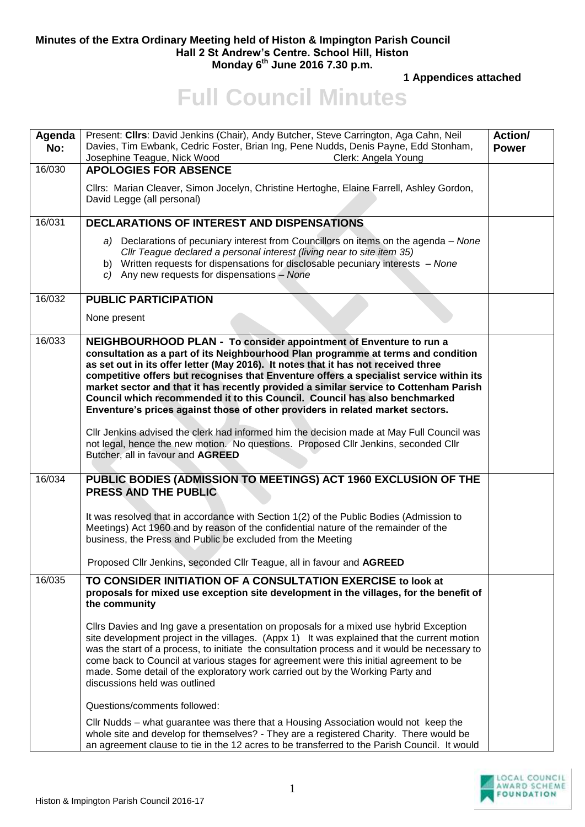## **Minutes of the Extra Ordinary Meeting held of Histon & Impington Parish Council Hall 2 St Andrew's Centre. School Hill, Histon Monday 6 th June 2016 7.30 p.m.**

**1 Appendices attached** 

## **Full Council Minutes**

| Agenda<br>No: | Present: Cllrs: David Jenkins (Chair), Andy Butcher, Steve Carrington, Aga Cahn, Neil<br>Davies, Tim Ewbank, Cedric Foster, Brian Ing, Pene Nudds, Denis Payne, Edd Stonham,<br>Josephine Teague, Nick Wood<br>Clerk: Angela Young                                                                                                                                                                                                                                                                                                                                                                | <b>Action/</b><br><b>Power</b> |
|---------------|---------------------------------------------------------------------------------------------------------------------------------------------------------------------------------------------------------------------------------------------------------------------------------------------------------------------------------------------------------------------------------------------------------------------------------------------------------------------------------------------------------------------------------------------------------------------------------------------------|--------------------------------|
| 16/030        | <b>APOLOGIES FOR ABSENCE</b>                                                                                                                                                                                                                                                                                                                                                                                                                                                                                                                                                                      |                                |
|               | Cllrs: Marian Cleaver, Simon Jocelyn, Christine Hertoghe, Elaine Farrell, Ashley Gordon,<br>David Legge (all personal)                                                                                                                                                                                                                                                                                                                                                                                                                                                                            |                                |
| 16/031        | DECLARATIONS OF INTEREST AND DISPENSATIONS                                                                                                                                                                                                                                                                                                                                                                                                                                                                                                                                                        |                                |
|               | a) Declarations of pecuniary interest from Councillors on items on the agenda – None<br>CIIr Teague declared a personal interest (living near to site item 35)<br>b) Written requests for dispensations for disclosable pecuniary interests - None<br>c) Any new requests for dispensations - None                                                                                                                                                                                                                                                                                                |                                |
| 16/032        | <b>PUBLIC PARTICIPATION</b>                                                                                                                                                                                                                                                                                                                                                                                                                                                                                                                                                                       |                                |
|               | None present                                                                                                                                                                                                                                                                                                                                                                                                                                                                                                                                                                                      |                                |
| 16/033        | NEIGHBOURHOOD PLAN - To consider appointment of Enventure to run a<br>consultation as a part of its Neighbourhood Plan programme at terms and condition<br>as set out in its offer letter (May 2016). It notes that it has not received three<br>competitive offers but recognises that Enventure offers a specialist service within its<br>market sector and that it has recently provided a similar service to Cottenham Parish<br>Council which recommended it to this Council. Council has also benchmarked<br>Enventure's prices against those of other providers in related market sectors. |                                |
|               | Cllr Jenkins advised the clerk had informed him the decision made at May Full Council was<br>not legal, hence the new motion. No questions. Proposed Cllr Jenkins, seconded Cllr<br>Butcher, all in favour and AGREED                                                                                                                                                                                                                                                                                                                                                                             |                                |
| 16/034        | PUBLIC BODIES (ADMISSION TO MEETINGS) ACT 1960 EXCLUSION OF THE<br>PRESS AND THE PUBLIC                                                                                                                                                                                                                                                                                                                                                                                                                                                                                                           |                                |
|               | It was resolved that in accordance with Section 1(2) of the Public Bodies (Admission to<br>Meetings) Act 1960 and by reason of the confidential nature of the remainder of the<br>business, the Press and Public be excluded from the Meeting                                                                                                                                                                                                                                                                                                                                                     |                                |
|               | Proposed Cllr Jenkins, seconded Cllr Teague, all in favour and AGREED                                                                                                                                                                                                                                                                                                                                                                                                                                                                                                                             |                                |
| 16/035        | TO CONSIDER INITIATION OF A CONSULTATION EXERCISE to look at<br>proposals for mixed use exception site development in the villages, for the benefit of<br>the community                                                                                                                                                                                                                                                                                                                                                                                                                           |                                |
|               | Cllrs Davies and Ing gave a presentation on proposals for a mixed use hybrid Exception<br>site development project in the villages. (Appx 1) It was explained that the current motion<br>was the start of a process, to initiate the consultation process and it would be necessary to<br>come back to Council at various stages for agreement were this initial agreement to be<br>made. Some detail of the exploratory work carried out by the Working Party and<br>discussions held was outlined                                                                                               |                                |
|               | Questions/comments followed:                                                                                                                                                                                                                                                                                                                                                                                                                                                                                                                                                                      |                                |
|               | Cllr Nudds – what guarantee was there that a Housing Association would not keep the<br>whole site and develop for themselves? - They are a registered Charity. There would be<br>an agreement clause to tie in the 12 acres to be transferred to the Parish Council. It would                                                                                                                                                                                                                                                                                                                     |                                |

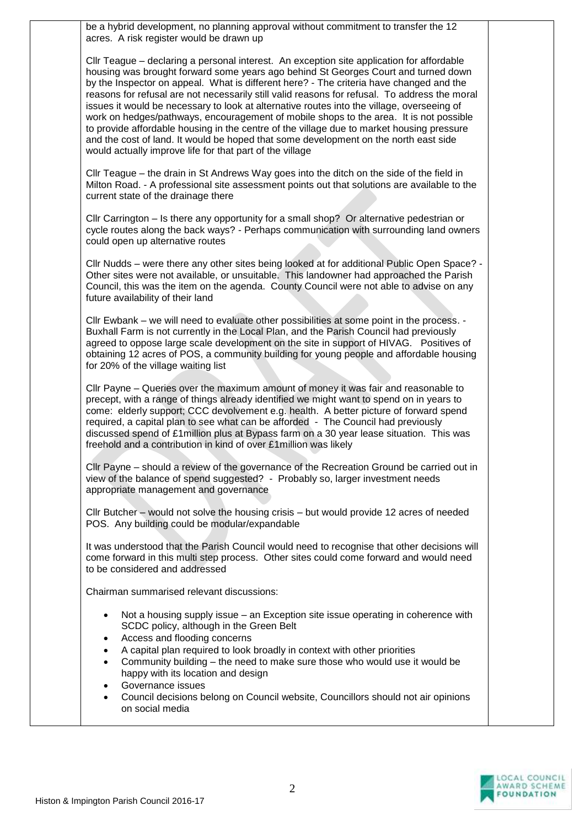be a hybrid development, no planning approval without commitment to transfer the 12 acres. A risk register would be drawn up

Cllr Teague – declaring a personal interest. An exception site application for affordable housing was brought forward some years ago behind St Georges Court and turned down by the Inspector on appeal. What is different here? - The criteria have changed and the reasons for refusal are not necessarily still valid reasons for refusal. To address the moral issues it would be necessary to look at alternative routes into the village, overseeing of work on hedges/pathways, encouragement of mobile shops to the area. It is not possible to provide affordable housing in the centre of the village due to market housing pressure and the cost of land. It would be hoped that some development on the north east side would actually improve life for that part of the village

Cllr Teague – the drain in St Andrews Way goes into the ditch on the side of the field in Milton Road. - A professional site assessment points out that solutions are available to the current state of the drainage there

Cllr Carrington – Is there any opportunity for a small shop? Or alternative pedestrian or cycle routes along the back ways? - Perhaps communication with surrounding land owners could open up alternative routes

Cllr Nudds – were there any other sites being looked at for additional Public Open Space? - Other sites were not available, or unsuitable. This landowner had approached the Parish Council, this was the item on the agenda. County Council were not able to advise on any future availability of their land

Cllr Ewbank – we will need to evaluate other possibilities at some point in the process. - Buxhall Farm is not currently in the Local Plan, and the Parish Council had previously agreed to oppose large scale development on the site in support of HIVAG. Positives of obtaining 12 acres of POS, a community building for young people and affordable housing for 20% of the village waiting list

Cllr Payne – Queries over the maximum amount of money it was fair and reasonable to precept, with a range of things already identified we might want to spend on in years to come: elderly support; CCC devolvement e.g. health. A better picture of forward spend required, a capital plan to see what can be afforded - The Council had previously discussed spend of £1million plus at Bypass farm on a 30 year lease situation. This was freehold and a contribution in kind of over £1million was likely

Cllr Payne – should a review of the governance of the Recreation Ground be carried out in view of the balance of spend suggested? - Probably so, larger investment needs appropriate management and governance

Cllr Butcher – would not solve the housing crisis – but would provide 12 acres of needed POS. Any building could be modular/expandable

It was understood that the Parish Council would need to recognise that other decisions will come forward in this multi step process. Other sites could come forward and would need to be considered and addressed

Chairman summarised relevant discussions:

- Not a housing supply issue an Exception site issue operating in coherence with SCDC policy, although in the Green Belt
- Access and flooding concerns
- A capital plan required to look broadly in context with other priorities
- Community building the need to make sure those who would use it would be happy with its location and design
- Governance issues
- Council decisions belong on Council website, Councillors should not air opinions on social media